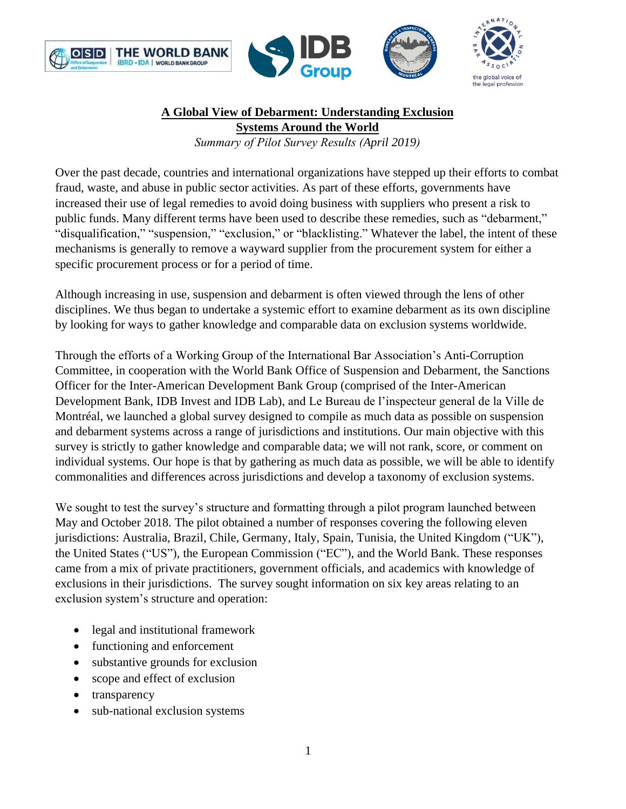





# **A Global View of Debarment: Understanding Exclusion**

**Systems Around the World**

*Summary of Pilot Survey Results (April 2019)*

Over the past decade, countries and international organizations have stepped up their efforts to combat fraud, waste, and abuse in public sector activities. As part of these efforts, governments have increased their use of legal remedies to avoid doing business with suppliers who present a risk to public funds. Many different terms have been used to describe these remedies, such as "debarment," "disqualification," "suspension," "exclusion," or "blacklisting." Whatever the label, the intent of these mechanisms is generally to remove a wayward supplier from the procurement system for either a specific procurement process or for a period of time.

Although increasing in use, suspension and debarment is often viewed through the lens of other disciplines. We thus began to undertake a systemic effort to examine debarment as its own discipline by looking for ways to gather knowledge and comparable data on exclusion systems worldwide.

Through the efforts of a Working Group of the International Bar Association's Anti-Corruption Committee, in cooperation with the World Bank Office of Suspension and Debarment, the Sanctions Officer for the Inter-American Development Bank Group (comprised of the Inter-American Development Bank, IDB Invest and IDB Lab), and Le Bureau de l'inspecteur general de la Ville de Montréal, we launched a global survey designed to compile as much data as possible on suspension and debarment systems across a range of jurisdictions and institutions. Our main objective with this survey is strictly to gather knowledge and comparable data; we will not rank, score, or comment on individual systems. Our hope is that by gathering as much data as possible, we will be able to identify commonalities and differences across jurisdictions and develop a taxonomy of exclusion systems.

We sought to test the survey's structure and formatting through a pilot program launched between May and October 2018. The pilot obtained a number of responses covering the following eleven jurisdictions: Australia, Brazil, Chile, Germany, Italy, Spain, Tunisia, the United Kingdom ("UK"), the United States ("US"), the European Commission ("EC"), and the World Bank. These responses came from a mix of private practitioners, government officials, and academics with knowledge of exclusions in their jurisdictions. The survey sought information on six key areas relating to an exclusion system's structure and operation:

- legal and institutional framework
- functioning and enforcement
- substantive grounds for exclusion
- scope and effect of exclusion
- transparency
- sub-national exclusion systems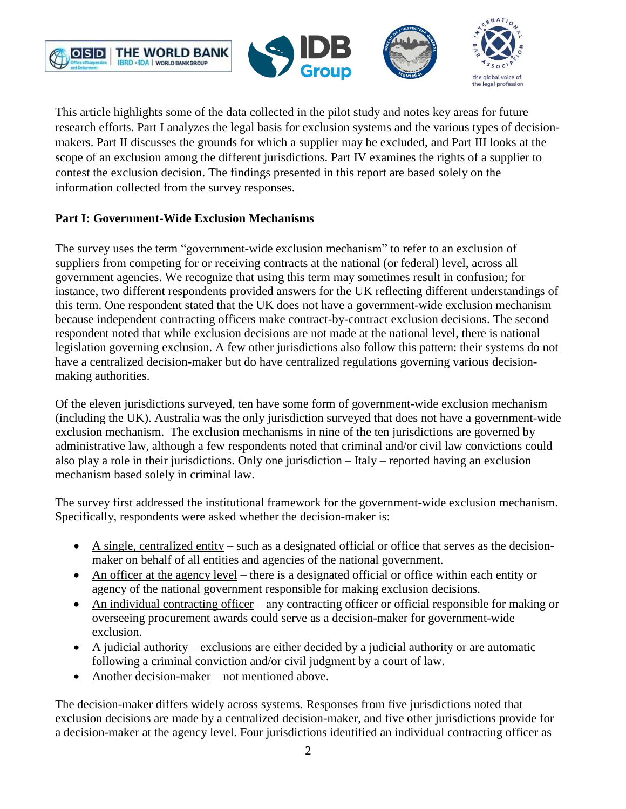





This article highlights some of the data collected in the pilot study and notes key areas for future research efforts. Part I analyzes the legal basis for exclusion systems and the various types of decisionmakers. Part II discusses the grounds for which a supplier may be excluded, and Part III looks at the scope of an exclusion among the different jurisdictions. Part IV examines the rights of a supplier to contest the exclusion decision. The findings presented in this report are based solely on the information collected from the survey responses.

## **Part I: Government-Wide Exclusion Mechanisms**

The survey uses the term "government-wide exclusion mechanism" to refer to an exclusion of suppliers from competing for or receiving contracts at the national (or federal) level, across all government agencies. We recognize that using this term may sometimes result in confusion; for instance, two different respondents provided answers for the UK reflecting different understandings of this term. One respondent stated that the UK does not have a government-wide exclusion mechanism because independent contracting officers make contract-by-contract exclusion decisions. The second respondent noted that while exclusion decisions are not made at the national level, there is national legislation governing exclusion. A few other jurisdictions also follow this pattern: their systems do not have a centralized decision-maker but do have centralized regulations governing various decisionmaking authorities.

Of the eleven jurisdictions surveyed, ten have some form of government-wide exclusion mechanism (including the UK). Australia was the only jurisdiction surveyed that does not have a government-wide exclusion mechanism. The exclusion mechanisms in nine of the ten jurisdictions are governed by administrative law, although a few respondents noted that criminal and/or civil law convictions could also play a role in their jurisdictions. Only one jurisdiction – Italy – reported having an exclusion mechanism based solely in criminal law.

The survey first addressed the institutional framework for the government-wide exclusion mechanism. Specifically, respondents were asked whether the decision-maker is:

- A single, centralized entity such as a designated official or office that serves as the decisionmaker on behalf of all entities and agencies of the national government.
- An officer at the agency level there is a designated official or office within each entity or agency of the national government responsible for making exclusion decisions.
- An individual contracting officer any contracting officer or official responsible for making or overseeing procurement awards could serve as a decision-maker for government-wide exclusion.
- $\bullet$  A judicial authority exclusions are either decided by a judicial authority or are automatic following a criminal conviction and/or civil judgment by a court of law.
- Another decision-maker not mentioned above.

The decision-maker differs widely across systems. Responses from five jurisdictions noted that exclusion decisions are made by a centralized decision-maker, and five other jurisdictions provide for a decision-maker at the agency level. Four jurisdictions identified an individual contracting officer as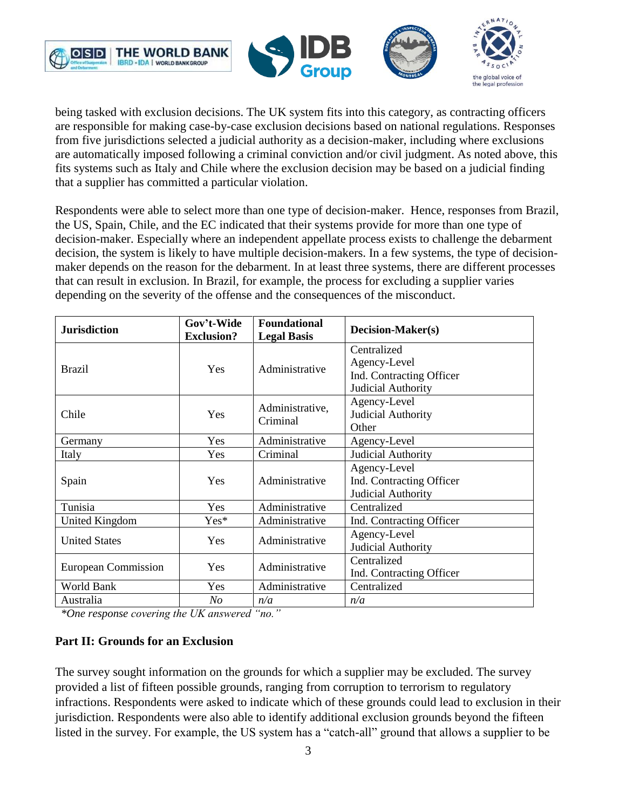





being tasked with exclusion decisions. The UK system fits into this category, as contracting officers are responsible for making case-by-case exclusion decisions based on national regulations. Responses from five jurisdictions selected a judicial authority as a decision-maker, including where exclusions are automatically imposed following a criminal conviction and/or civil judgment. As noted above, this fits systems such as Italy and Chile where the exclusion decision may be based on a judicial finding that a supplier has committed a particular violation.

Respondents were able to select more than one type of decision-maker. Hence, responses from Brazil, the US, Spain, Chile, and the EC indicated that their systems provide for more than one type of decision-maker. Especially where an independent appellate process exists to challenge the debarment decision, the system is likely to have multiple decision-makers. In a few systems, the type of decisionmaker depends on the reason for the debarment. In at least three systems, there are different processes that can result in exclusion. In Brazil, for example, the process for excluding a supplier varies depending on the severity of the offense and the consequences of the misconduct.

| <b>Jurisdiction</b>        | Gov't-Wide<br><b>Exclusion?</b> | <b>Foundational</b><br><b>Legal Basis</b>                 | <b>Decision-Maker(s)</b>                                                      |  |
|----------------------------|---------------------------------|-----------------------------------------------------------|-------------------------------------------------------------------------------|--|
| <b>Brazil</b>              | Yes                             | Administrative                                            | Centralized<br>Agency-Level<br>Ind. Contracting Officer<br>Judicial Authority |  |
| Chile                      | Yes                             | Administrative,<br>Criminal                               | Agency-Level<br>Judicial Authority<br>Other                                   |  |
| Germany                    | Yes                             | Administrative                                            | Agency-Level                                                                  |  |
| Italy                      | Yes                             | Criminal                                                  | Judicial Authority                                                            |  |
| Spain                      | Yes                             | Administrative                                            | Agency-Level<br>Ind. Contracting Officer<br>Judicial Authority                |  |
| Tunisia                    | Yes                             | Administrative                                            | Centralized                                                                   |  |
| <b>United Kingdom</b>      | $Yes*$                          | Administrative                                            | Ind. Contracting Officer                                                      |  |
| <b>United States</b>       | Yes                             | Administrative                                            | Agency-Level<br>Judicial Authority                                            |  |
| <b>European Commission</b> | <b>Yes</b>                      | Centralized<br>Administrative<br>Ind. Contracting Officer |                                                                               |  |
| World Bank                 | Yes                             | Administrative                                            | Centralized                                                                   |  |
| Australia                  | $N_{O}$                         | n/a                                                       | n/a                                                                           |  |

*\*One response covering the UK answered "no."*

### **Part II: Grounds for an Exclusion**

The survey sought information on the grounds for which a supplier may be excluded. The survey provided a list of fifteen possible grounds, ranging from corruption to terrorism to regulatory infractions. Respondents were asked to indicate which of these grounds could lead to exclusion in their jurisdiction. Respondents were also able to identify additional exclusion grounds beyond the fifteen listed in the survey. For example, the US system has a "catch-all" ground that allows a supplier to be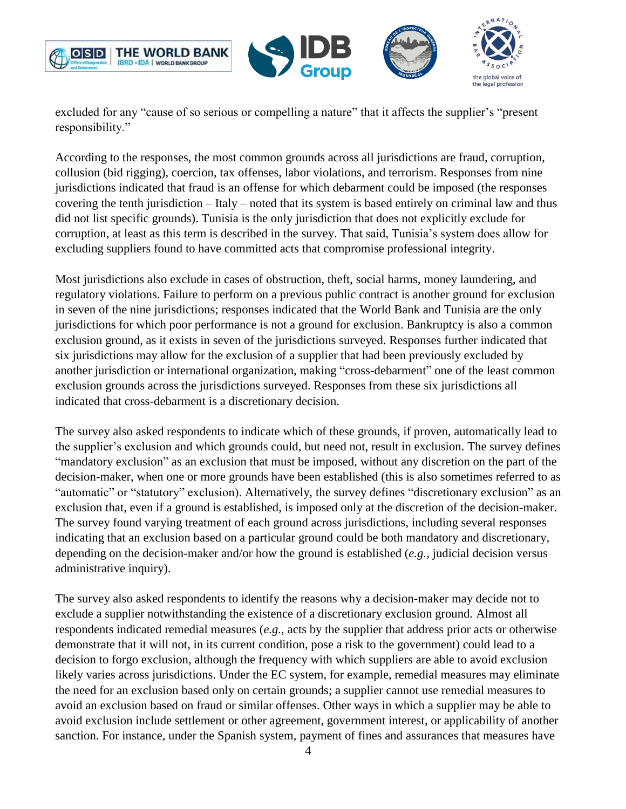



excluded for any "cause of so serious or compelling a nature" that it affects the supplier's "present responsibility."

According to the responses, the most common grounds across all jurisdictions are fraud, corruption, collusion (bid rigging), coercion, tax offenses, labor violations, and terrorism. Responses from nine jurisdictions indicated that fraud is an offense for which debarment could be imposed (the responses covering the tenth jurisdiction – Italy – noted that its system is based entirely on criminal law and thus did not list specific grounds). Tunisia is the only jurisdiction that does not explicitly exclude for corruption, at least as this term is described in the survey. That said, Tunisia's system does allow for excluding suppliers found to have committed acts that compromise professional integrity.

Most jurisdictions also exclude in cases of obstruction, theft, social harms, money laundering, and regulatory violations. Failure to perform on a previous public contract is another ground for exclusion in seven of the nine jurisdictions; responses indicated that the World Bank and Tunisia are the only jurisdictions for which poor performance is not a ground for exclusion. Bankruptcy is also a common exclusion ground, as it exists in seven of the jurisdictions surveyed. Responses further indicated that six jurisdictions may allow for the exclusion of a supplier that had been previously excluded by another jurisdiction or international organization, making "cross-debarment" one of the least common exclusion grounds across the jurisdictions surveyed. Responses from these six jurisdictions all indicated that cross-debarment is a discretionary decision.

The survey also asked respondents to indicate which of these grounds, if proven, automatically lead to the supplier's exclusion and which grounds could, but need not, result in exclusion. The survey defines "mandatory exclusion" as an exclusion that must be imposed, without any discretion on the part of the decision-maker, when one or more grounds have been established (this is also sometimes referred to as "automatic" or "statutory" exclusion). Alternatively, the survey defines "discretionary exclusion" as an exclusion that, even if a ground is established, is imposed only at the discretion of the decision-maker. The survey found varying treatment of each ground across jurisdictions, including several responses indicating that an exclusion based on a particular ground could be both mandatory and discretionary, depending on the decision-maker and/or how the ground is established (*e.g.*, judicial decision versus administrative inquiry).

The survey also asked respondents to identify the reasons why a decision-maker may decide not to exclude a supplier notwithstanding the existence of a discretionary exclusion ground. Almost all respondents indicated remedial measures (*e.g.*, acts by the supplier that address prior acts or otherwise demonstrate that it will not, in its current condition, pose a risk to the government) could lead to a decision to forgo exclusion, although the frequency with which suppliers are able to avoid exclusion likely varies across jurisdictions. Under the EC system, for example, remedial measures may eliminate the need for an exclusion based only on certain grounds; a supplier cannot use remedial measures to avoid an exclusion based on fraud or similar offenses. Other ways in which a supplier may be able to avoid exclusion include settlement or other agreement, government interest, or applicability of another sanction. For instance, under the Spanish system, payment of fines and assurances that measures have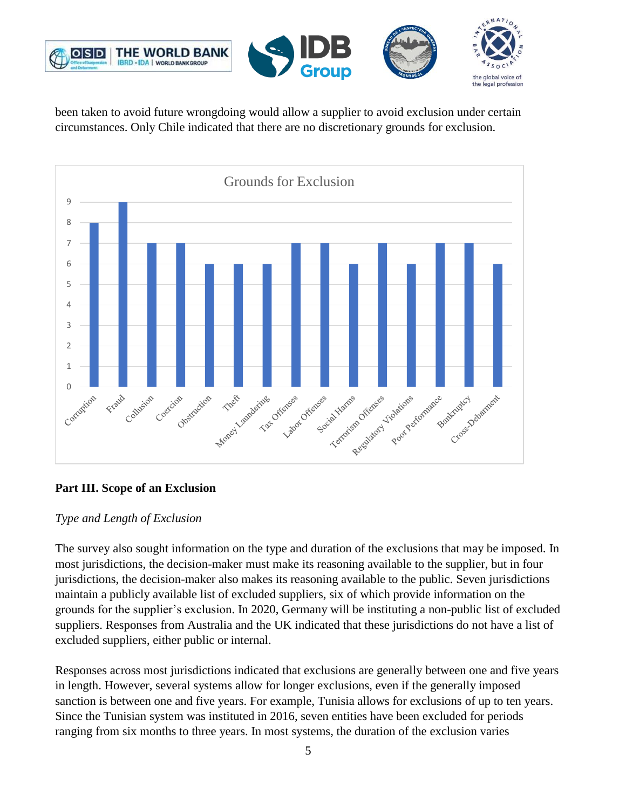

been taken to avoid future wrongdoing would allow a supplier to avoid exclusion under certain circumstances. Only Chile indicated that there are no discretionary grounds for exclusion.



## **Part III. Scope of an Exclusion**

### *Type and Length of Exclusion*

The survey also sought information on the type and duration of the exclusions that may be imposed. In most jurisdictions, the decision-maker must make its reasoning available to the supplier, but in four jurisdictions, the decision-maker also makes its reasoning available to the public. Seven jurisdictions maintain a publicly available list of excluded suppliers, six of which provide information on the grounds for the supplier's exclusion. In 2020, Germany will be instituting a non-public list of excluded suppliers. Responses from Australia and the UK indicated that these jurisdictions do not have a list of excluded suppliers, either public or internal.

Responses across most jurisdictions indicated that exclusions are generally between one and five years in length. However, several systems allow for longer exclusions, even if the generally imposed sanction is between one and five years. For example, Tunisia allows for exclusions of up to ten years. Since the Tunisian system was instituted in 2016, seven entities have been excluded for periods ranging from six months to three years. In most systems, the duration of the exclusion varies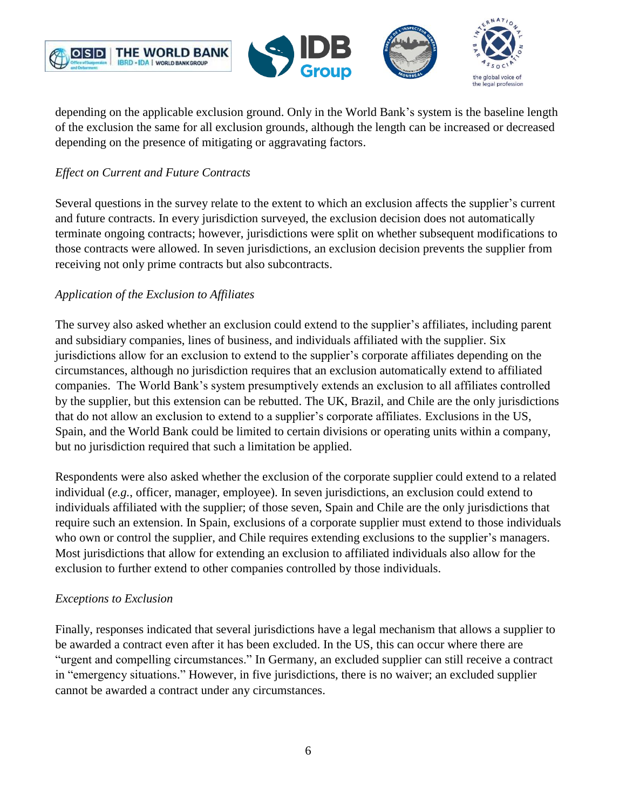



depending on the applicable exclusion ground. Only in the World Bank's system is the baseline length of the exclusion the same for all exclusion grounds, although the length can be increased or decreased depending on the presence of mitigating or aggravating factors.

## *Effect on Current and Future Contracts*

Several questions in the survey relate to the extent to which an exclusion affects the supplier's current and future contracts. In every jurisdiction surveyed, the exclusion decision does not automatically terminate ongoing contracts; however, jurisdictions were split on whether subsequent modifications to those contracts were allowed. In seven jurisdictions, an exclusion decision prevents the supplier from receiving not only prime contracts but also subcontracts.

## *Application of the Exclusion to Affiliates*

The survey also asked whether an exclusion could extend to the supplier's affiliates, including parent and subsidiary companies, lines of business, and individuals affiliated with the supplier. Six jurisdictions allow for an exclusion to extend to the supplier's corporate affiliates depending on the circumstances, although no jurisdiction requires that an exclusion automatically extend to affiliated companies. The World Bank's system presumptively extends an exclusion to all affiliates controlled by the supplier, but this extension can be rebutted. The UK, Brazil, and Chile are the only jurisdictions that do not allow an exclusion to extend to a supplier's corporate affiliates. Exclusions in the US, Spain, and the World Bank could be limited to certain divisions or operating units within a company, but no jurisdiction required that such a limitation be applied.

Respondents were also asked whether the exclusion of the corporate supplier could extend to a related individual (*e.g.*, officer, manager, employee). In seven jurisdictions, an exclusion could extend to individuals affiliated with the supplier; of those seven, Spain and Chile are the only jurisdictions that require such an extension. In Spain, exclusions of a corporate supplier must extend to those individuals who own or control the supplier, and Chile requires extending exclusions to the supplier's managers. Most jurisdictions that allow for extending an exclusion to affiliated individuals also allow for the exclusion to further extend to other companies controlled by those individuals.

### *Exceptions to Exclusion*

Finally, responses indicated that several jurisdictions have a legal mechanism that allows a supplier to be awarded a contract even after it has been excluded. In the US, this can occur where there are "urgent and compelling circumstances." In Germany, an excluded supplier can still receive a contract in "emergency situations." However, in five jurisdictions, there is no waiver; an excluded supplier cannot be awarded a contract under any circumstances.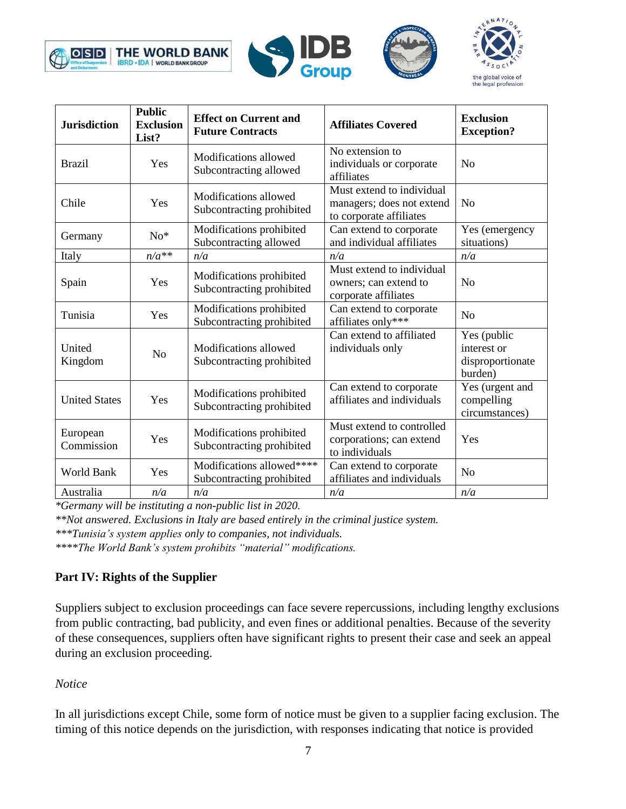







| <b>Jurisdiction</b>    | <b>Public</b><br><b>Exclusion</b><br>List? | <b>Effect on Current and</b><br><b>Future Contracts</b> | <b>Affiliates Covered</b>                                                         | <b>Exclusion</b><br><b>Exception?</b>                     |
|------------------------|--------------------------------------------|---------------------------------------------------------|-----------------------------------------------------------------------------------|-----------------------------------------------------------|
| <b>Brazil</b>          | Yes                                        | Modifications allowed<br>Subcontracting allowed         | No extension to<br>individuals or corporate<br>affiliates                         | N <sub>o</sub>                                            |
| Chile                  | Yes                                        | Modifications allowed<br>Subcontracting prohibited      | Must extend to individual<br>managers; does not extend<br>to corporate affiliates | N <sub>o</sub>                                            |
| Germany                | $No*$                                      | Modifications prohibited<br>Subcontracting allowed      | Can extend to corporate<br>and individual affiliates                              | Yes (emergency<br>situations)                             |
| Italy                  | $n/a**$                                    | n/a                                                     | n/a                                                                               | n/a                                                       |
| Spain                  | Yes                                        | Modifications prohibited<br>Subcontracting prohibited   | Must extend to individual<br>owners; can extend to<br>corporate affiliates        | N <sub>o</sub>                                            |
| Tunisia                | Yes                                        | Modifications prohibited<br>Subcontracting prohibited   | Can extend to corporate<br>affiliates only***                                     | N <sub>o</sub>                                            |
| United<br>Kingdom      | N <sub>o</sub>                             | Modifications allowed<br>Subcontracting prohibited      | Can extend to affiliated<br>individuals only                                      | Yes (public<br>interest or<br>disproportionate<br>burden) |
| <b>United States</b>   | Yes                                        | Modifications prohibited<br>Subcontracting prohibited   | Can extend to corporate<br>affiliates and individuals                             | Yes (urgent and<br>compelling<br>circumstances)           |
| European<br>Commission | Yes                                        | Modifications prohibited<br>Subcontracting prohibited   | Must extend to controlled<br>corporations; can extend<br>to individuals           | Yes                                                       |
| <b>World Bank</b>      | Yes                                        | Modifications allowed****<br>Subcontracting prohibited  | Can extend to corporate<br>affiliates and individuals                             | N <sub>o</sub>                                            |
| Australia              | n/a                                        | n/a                                                     | n/a                                                                               | n/a                                                       |

*\*Germany will be instituting a non-public list in 2020.*

*\*\*Not answered. Exclusions in Italy are based entirely in the criminal justice system.*

*\*\*\*Tunisia's system applies only to companies, not individuals.*

*\*\*\*\*The World Bank's system prohibits "material" modifications.*

## **Part IV: Rights of the Supplier**

Suppliers subject to exclusion proceedings can face severe repercussions, including lengthy exclusions from public contracting, bad publicity, and even fines or additional penalties. Because of the severity of these consequences, suppliers often have significant rights to present their case and seek an appeal during an exclusion proceeding.

### *Notice*

In all jurisdictions except Chile, some form of notice must be given to a supplier facing exclusion. The timing of this notice depends on the jurisdiction, with responses indicating that notice is provided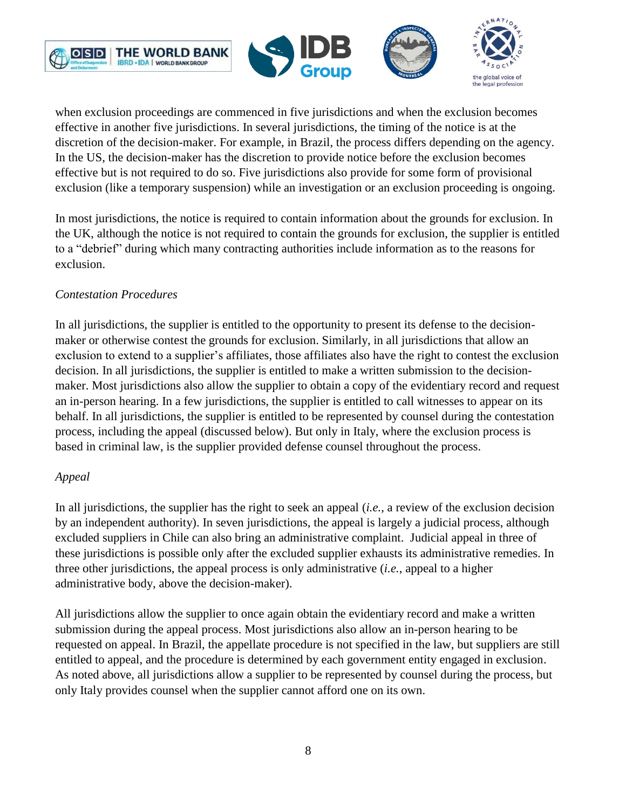

when exclusion proceedings are commenced in five jurisdictions and when the exclusion becomes effective in another five jurisdictions. In several jurisdictions, the timing of the notice is at the discretion of the decision-maker. For example, in Brazil, the process differs depending on the agency. In the US, the decision-maker has the discretion to provide notice before the exclusion becomes effective but is not required to do so. Five jurisdictions also provide for some form of provisional exclusion (like a temporary suspension) while an investigation or an exclusion proceeding is ongoing.

In most jurisdictions, the notice is required to contain information about the grounds for exclusion. In the UK, although the notice is not required to contain the grounds for exclusion, the supplier is entitled to a "debrief" during which many contracting authorities include information as to the reasons for exclusion.

## *Contestation Procedures*

In all jurisdictions, the supplier is entitled to the opportunity to present its defense to the decisionmaker or otherwise contest the grounds for exclusion. Similarly, in all jurisdictions that allow an exclusion to extend to a supplier's affiliates, those affiliates also have the right to contest the exclusion decision. In all jurisdictions, the supplier is entitled to make a written submission to the decisionmaker. Most jurisdictions also allow the supplier to obtain a copy of the evidentiary record and request an in-person hearing. In a few jurisdictions, the supplier is entitled to call witnesses to appear on its behalf. In all jurisdictions, the supplier is entitled to be represented by counsel during the contestation process, including the appeal (discussed below). But only in Italy, where the exclusion process is based in criminal law, is the supplier provided defense counsel throughout the process.

### *Appeal*

In all jurisdictions, the supplier has the right to seek an appeal (*i.e.*, a review of the exclusion decision by an independent authority). In seven jurisdictions, the appeal is largely a judicial process, although excluded suppliers in Chile can also bring an administrative complaint. Judicial appeal in three of these jurisdictions is possible only after the excluded supplier exhausts its administrative remedies. In three other jurisdictions, the appeal process is only administrative (*i.e.*, appeal to a higher administrative body, above the decision-maker).

All jurisdictions allow the supplier to once again obtain the evidentiary record and make a written submission during the appeal process. Most jurisdictions also allow an in-person hearing to be requested on appeal. In Brazil, the appellate procedure is not specified in the law, but suppliers are still entitled to appeal, and the procedure is determined by each government entity engaged in exclusion. As noted above, all jurisdictions allow a supplier to be represented by counsel during the process, but only Italy provides counsel when the supplier cannot afford one on its own.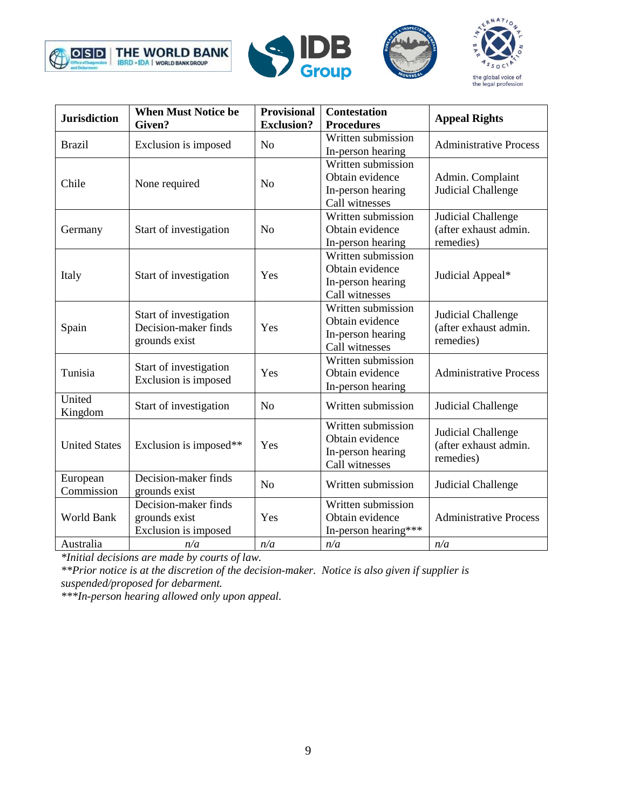







| <b>Jurisdiction</b>    | <b>When Must Notice be</b><br>Given?                            | Provisional<br><b>Exclusion?</b> | <b>Contestation</b><br><b>Procedures</b>                                     | <b>Appeal Rights</b>                                            |
|------------------------|-----------------------------------------------------------------|----------------------------------|------------------------------------------------------------------------------|-----------------------------------------------------------------|
| <b>Brazil</b>          | Exclusion is imposed                                            | N <sub>0</sub>                   | Written submission<br>In-person hearing                                      | <b>Administrative Process</b>                                   |
| Chile                  | None required                                                   | N <sub>o</sub>                   | Written submission<br>Obtain evidence<br>In-person hearing<br>Call witnesses | Admin. Complaint<br>Judicial Challenge                          |
| Germany                | Start of investigation                                          | N <sub>o</sub>                   | Written submission<br>Obtain evidence<br>In-person hearing                   | <b>Judicial Challenge</b><br>(after exhaust admin.<br>remedies) |
| Italy                  | Start of investigation                                          | Yes                              | Written submission<br>Obtain evidence<br>In-person hearing<br>Call witnesses | Judicial Appeal*                                                |
| Spain                  | Start of investigation<br>Decision-maker finds<br>grounds exist | Yes                              | Written submission<br>Obtain evidence<br>In-person hearing<br>Call witnesses | Judicial Challenge<br>(after exhaust admin.<br>remedies)        |
| Tunisia                | Start of investigation<br>Exclusion is imposed                  | Yes                              | Written submission<br>Obtain evidence<br>In-person hearing                   | <b>Administrative Process</b>                                   |
| United<br>Kingdom      | Start of investigation                                          | N <sub>o</sub>                   | Written submission                                                           | <b>Judicial Challenge</b>                                       |
| <b>United States</b>   | Exclusion is imposed**                                          | Yes                              | Written submission<br>Obtain evidence<br>In-person hearing<br>Call witnesses | <b>Judicial Challenge</b><br>(after exhaust admin.<br>remedies) |
| European<br>Commission | Decision-maker finds<br>grounds exist                           | N <sub>o</sub>                   | Written submission                                                           | Judicial Challenge                                              |
| World Bank             | Decision-maker finds<br>grounds exist<br>Exclusion is imposed   | Yes                              | Written submission<br>Obtain evidence<br>In-person hearing***                | <b>Administrative Process</b>                                   |
| Australia              | n/a                                                             | n/a                              | n/a                                                                          | n/a                                                             |

*\*Initial decisions are made by courts of law.*

*\*\*Prior notice is at the discretion of the decision-maker. Notice is also given if supplier is suspended/proposed for debarment.*

*\*\*\*In-person hearing allowed only upon appeal.*